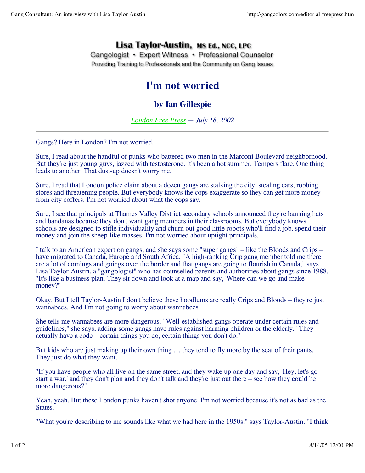## Lisa Taylor-Austin, MS Ed., NCC, LPC

Gangologist • Expert Witness • Professional Counselor Providing Training to Professionals and the Community on Gang Issues

## **I'm not worried**

## **by Ian Gillespie**

*London Free Press — July 18, 2002*

Gangs? Here in London? I'm not worried.

Sure, I read about the handful of punks who battered two men in the Marconi Boulevard neighborhood. But they're just young guys, jazzed with testosterone. It's been a hot summer. Tempers flare. One thing leads to another. That dust-up doesn't worry me.

Sure, I read that London police claim about a dozen gangs are stalking the city, stealing cars, robbing stores and threatening people. But everybody knows the cops exaggerate so they can get more money from city coffers. I'm not worried about what the cops say.

Sure, I see that principals at Thames Valley District secondary schools announced they're banning hats and bandanas because they don't want gang members in their classrooms. But everybody knows schools are designed to stifle individuality and churn out good little robots who'll find a job, spend their money and join the sheep-like masses. I'm not worried about uptight principals.

I talk to an American expert on gangs, and she says some "super gangs" – like the Bloods and Crips – have migrated to Canada, Europe and South Africa. "A high-ranking Crip gang member told me there are a lot of comings and goings over the border and that gangs are going to flourish in Canada," says Lisa Taylor-Austin, a "gangologist" who has counselled parents and authorities about gangs since 1988. "It's like a business plan. They sit down and look at a map and say, 'Where can we go and make money?'"

Okay. But I tell Taylor-Austin I don't believe these hoodlums are really Crips and Bloods – they're just wannabees. And I'm not going to worry about wannabees.

She tells me wannabees are more dangerous. "Well-established gangs operate under certain rules and guidelines," she says, adding some gangs have rules against harming children or the elderly. "They actually have a code – certain things you do, certain things you don't do."

But kids who are just making up their own thing … they tend to fly more by the seat of their pants. They just do what they want.

"If you have people who all live on the same street, and they wake up one day and say, 'Hey, let's go start a war,' and they don't plan and they don't talk and they're just out there – see how they could be more dangerous?"

Yeah, yeah. But these London punks haven't shot anyone. I'm not worried because it's not as bad as the States.

"What you're describing to me sounds like what we had here in the 1950s," says Taylor-Austin. "I think